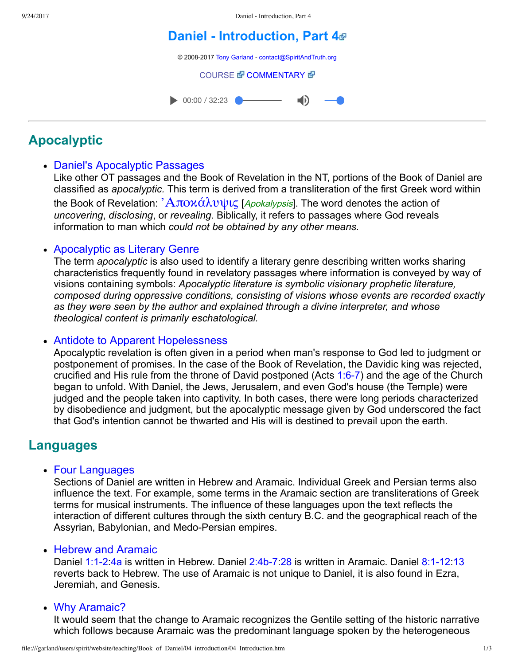9/24/2017 Daniel - Introduction, Part 4

# **Daniel [Introduction,](file:///garland/users/spirit/website/teaching/Book_of_Daniel/04_introduction/index.htm) Part 4**

© 2008-2017 [Tony Garland](file:///garland/users/spirit/website/teaching/teachers/tony_garland/bio.htm) - [contact@SpiritAndTruth.org](mailto:contact@SpiritAndTruth.org?subject=ST-MAIL:%20Daniel%20-%20Introduction,%20Part%204)

[COURSE](file:///garland/users/spirit/website/teaching/Book_of_Daniel/04_introduction/index.htm) *T* [COMMENTARY](file:///garland/users/spirit/website/teaching/Book_of_Daniel/commentary/htm/index.html?Introduction) **T** 

 $\bullet$  00:00 / 32:23  $\blacksquare$ 

# **Apocalyptic**

## Daniel's Apocalyptic Passages

Like other OT passages and the Book of Revelation in the NT, portions of the Book of Daniel are classified as *apocalyptic.* This term is derived from a transliteration of the first Greek word within the Book of Revelation:  $A\pi\Omega\chi\alpha\lambda\mathcal{U}\psi\mathfrak{l}\varsigma$  [*Apokalypsis*]. The word denotes the action of *uncovering*, *disclosing*, or *revealing*. Biblically, it refers to passages where God reveals information to man which *could not be obtained by any other means.*

### Apocalyptic as Literary Genre

The term *apocalyptic* is also used to identify a literary genre describing written works sharing characteristics frequently found in revelatory passages where information is conveyed by way of visions containing symbols: *Apocalyptic literature is symbolic visionary prophetic literature, composed during oppressive conditions, consisting of visions whose events are recorded exactly as they were seen by the author and explained through a divine interpreter, and whose theological content is primarily eschatological.*

### • Antidote to Apparent Hopelessness

Apocalyptic revelation is often given in a period when man's response to God led to judgment or postponement of promises. In the case of the Book of Revelation, the Davidic king was rejected, crucified and His rule from the throne of David postponed (Acts 1:6-7) and the age of the Church began to unfold. With Daniel, the Jews, Jerusalem, and even God's house (the Temple) were judged and the people taken into captivity. In both cases, there were long periods characterized by disobedience and judgment, but the apocalyptic message given by God underscored the fact that God's intention cannot be thwarted and His will is destined to prevail upon the earth.

# **Languages**

• Four Languages

Sections of Daniel are written in Hebrew and Aramaic. Individual Greek and Persian terms also influence the text. For example, some terms in the Aramaic section are transliterations of Greek terms for musical instruments. The influence of these languages upon the text reflects the interaction of different cultures through the sixth century B.C. and the geographical reach of the Assyrian, Babylonian, and Medo-Persian empires.

#### • Hebrew and Aramaic

Daniel 1:1-2:[4a](file:///garland/users/spirit/website/bibles/nasb/b27c001.htm#Dan._C1V4) is written in Hebrew. Daniel  $2:4b-7:28$  is written in Aramaic. Daniel  $8:1-12:13$  $8:1-12:13$ reverts back to Hebrew. The use of Aramaic is not unique to Daniel, it is also found in Ezra, Jeremiah, and Genesis.

#### • Why Aramaic?

It would seem that the change to Aramaic recognizes the Gentile setting of the historic narrative which follows because Aramaic was the predominant language spoken by the heterogeneous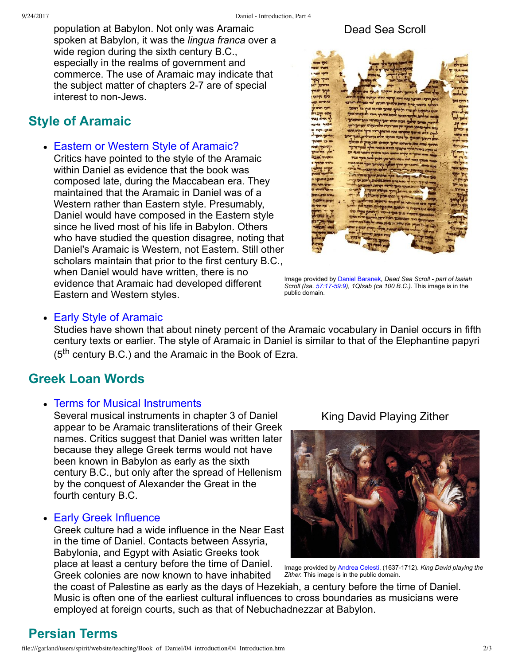population at Babylon. Not only was Aramaic spoken at Babylon, it was the *lingua franca* over a wide region during the sixth century B.C., especially in the realms of government and commerce. The use of Aramaic may indicate that the subject matter of chapters 2-7 are of special interest to non-Jews.

# **Style of Aramaic**

• Eastern or Western Style of Aramaic?

Critics have pointed to the style of the Aramaic within Daniel as evidence that the book was composed late, during the Maccabean era. They maintained that the Aramaic in Daniel was of a Western rather than Eastern style. Presumably, Daniel would have composed in the Eastern style since he lived most of his life in Babylon. Others who have studied the question disagree, noting that Daniel's Aramaic is Western, not Eastern. Still other scholars maintain that prior to the first century B.C., when Daniel would have written, there is no evidence that Aramaic had developed different Eastern and Western styles.

### Dead Sea Scroll



[Image provided by](file:///garland/users/spirit/website/teaching/Book_of_Daniel/04_introduction/1QIsa_b.jpg) [Daniel Baranek](http://commons.wikimedia.org/wiki/File:1QIsa_b.jpg)[,](file:///garland/users/spirit/website/teaching/Book_of_Daniel/04_introduction/1QIsa_b.jpg) *Dead Sea Scroll part of Isaiah Scroll (Isa.* 57:17-5[9](file:///garland/users/spirit/website/bibles/nasb/b23c057.htm#Isa._C57V9):9), 1QIsab (ca 100 B.C.). This image is in the public domain.

#### • Early Style of Aramaic

Studies have shown that about ninety percent of the Aramaic vocabulary in Daniel occurs in fifth century texts or earlier. The style of Aramaic in Daniel is similar to that of the Elephantine papyri (5<sup>th</sup> century B.C.) and the Aramaic in the Book of Ezra.

# **Greek Loan Words**

#### Terms for Musical Instruments

Several musical instruments in chapter 3 of Daniel appear to be Aramaic transliterations of their Greek names. Critics suggest that Daniel was written later because they allege Greek terms would not have been known in Babylon as early as the sixth century B.C., but only after the spread of Hellenism by the conquest of Alexander the Great in the fourth century B.C.

#### Early Greek Influence

Greek culture had a wide influence in the Near East in the time of Daniel. Contacts between Assyria, Babylonia, and Egypt with Asiatic Greeks took place at least a century before the time of Daniel. Greek colonies are now known to have inhabited

King David Playing Zither



[Image provided by](file:///garland/users/spirit/website/teaching/Book_of_Daniel/04_introduction/Andrea_Celesti_-_King_David_Playing_the_Zither_-_WGA04619.jpg) [Andrea Celesti](http://commons.wikimedia.org/wiki/File:Andrea_Celesti_-_King_David_Playing_the_Zither_-_WGA04619.jpg), (1637-1712). *King David playing the Zither.* This image is in the public domain.

the coast of Palestine as early as the days of Hezekiah, a century before the time of Daniel. Music is often one of the earliest cultural influences to cross boundaries as musicians were employed at foreign courts, such as that of Nebuchadnezzar at Babylon.

# **Persian Terms**